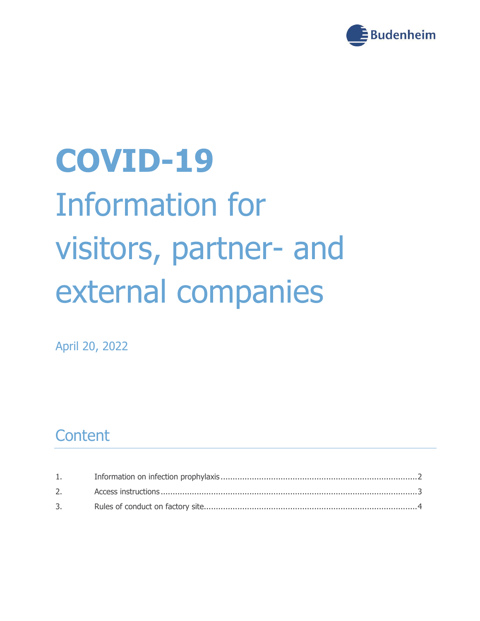

# **COVID-19** Information for visitors, partner- and external companies

April 20, 2022

#### **Content**

| 3. |  |
|----|--|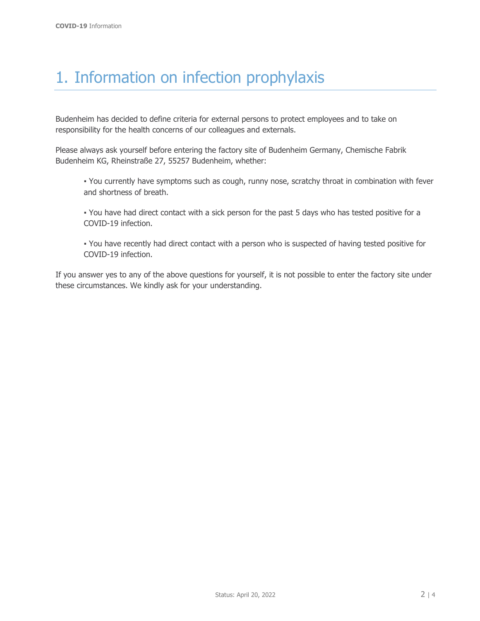### <span id="page-1-0"></span>1. Information on infection prophylaxis

Budenheim has decided to define criteria for external persons to protect employees and to take on responsibility for the health concerns of our colleagues and externals.

Please always ask yourself before entering the factory site of Budenheim Germany, Chemische Fabrik Budenheim KG, Rheinstraße 27, 55257 Budenheim, whether:

▪ You currently have symptoms such as cough, runny nose, scratchy throat in combination with fever and shortness of breath.

▪ You have had direct contact with a sick person for the past 5 days who has tested positive for a COVID-19 infection.

▪ You have recently had direct contact with a person who is suspected of having tested positive for COVID-19 infection.

If you answer yes to any of the above questions for yourself, it is not possible to enter the factory site under these circumstances. We kindly ask for your understanding.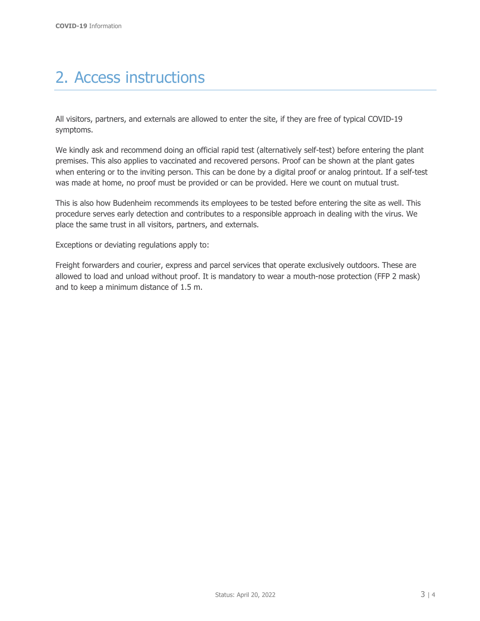### <span id="page-2-0"></span>2. Access instructions

All visitors, partners, and externals are allowed to enter the site, if they are free of typical COVID-19 symptoms.

We kindly ask and recommend doing an official rapid test (alternatively self-test) before entering the plant premises. This also applies to vaccinated and recovered persons. Proof can be shown at the plant gates when entering or to the inviting person. This can be done by a digital proof or analog printout. If a self-test was made at home, no proof must be provided or can be provided. Here we count on mutual trust.

This is also how Budenheim recommends its employees to be tested before entering the site as well. This procedure serves early detection and contributes to a responsible approach in dealing with the virus. We place the same trust in all visitors, partners, and externals.

Exceptions or deviating regulations apply to:

Freight forwarders and courier, express and parcel services that operate exclusively outdoors. These are allowed to load and unload without proof. It is mandatory to wear a mouth-nose protection (FFP 2 mask) and to keep a minimum distance of 1.5 m.